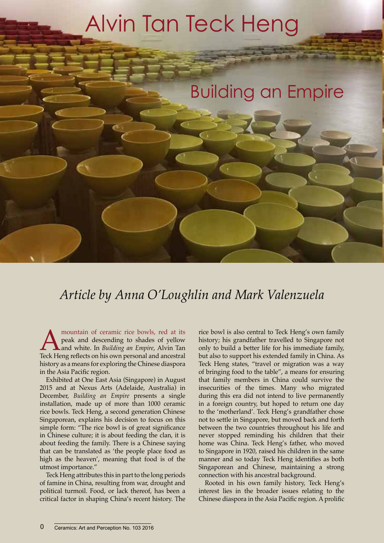## Alvin Tan Teck Heng



## *Article by Anna O'Loughlin and Mark Valenzuela*

mountain of ceramic rice bowls, red at its<br>
peak and descending to shades of yellow<br>
Teck Heng reflects on his own personal and ancestral peak and descending to shades of yellow Teck Heng reflects on his own personal and ancestral history as a means for exploring the Chinese diaspora in the Asia Pacific region.

Exhibited at One East Asia (Singapore) in August 2015 and at Nexus Arts (Adelaide, Australia) in December, *Building an Empire* presents a single installation, made up of more than 1000 ceramic rice bowls. Teck Heng, a second generation Chinese Singaporean, explains his decision to focus on this simple form: "The rice bowl is of great signifcance in Chinese culture; it is about feeding the clan, it is about feeding the family. There is a Chinese saying that can be translated as 'the people place food as high as the heaven', meaning that food is of the utmost importance."

Teck Heng attributes this in part to the long periods of famine in China, resulting from war, drought and political turmoil. Food, or lack thereof, has been a critical factor in shaping China's recent history. The

rice bowl is also central to Teck Heng's own family history; his grandfather travelled to Singapore not only to build a better life for his immediate family, but also to support his extended family in China. As Teck Heng states, "travel or migration was a way of bringing food to the table", a means for ensuring that family members in China could survive the insecurities of the times. Many who migrated during this era did not intend to live permanently in a foreign country, but hoped to return one day to the 'motherland'. Teck Heng's grandfather chose not to settle in Singapore, but moved back and forth between the two countries throughout his life and never stopped reminding his children that their home was China. Teck Heng's father, who moved to Singapore in 1920, raised his children in the same manner and so today Teck Heng identifes as both Singaporean and Chinese, maintaining a strong connection with his ancestral background.

Rooted in his own family history, Teck Heng's interest lies in the broader issues relating to the Chinese diaspora in the Asia Pacifc region. A prolifc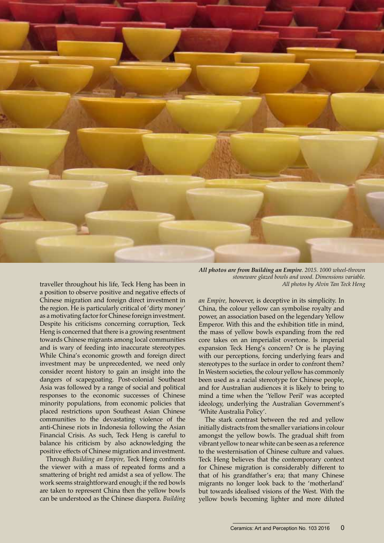

traveller throughout his life, Teck Heng has been in a position to observe positive and negative efects of Chinese migration and foreign direct investment in the region. He is particularly critical of 'dirty money' as a motivating factor for Chinese foreign investment. Despite his criticisms concerning corruption, Teck Heng is concerned that there is a growing resentment towards Chinese migrants among local communities and is wary of feeding into inaccurate stereotypes. While China's economic growth and foreign direct investment may be unprecedented, we need only consider recent history to gain an insight into the dangers of scapegoating. Post-colonial Southeast Asia was followed by a range of social and political responses to the economic successes of Chinese minority populations, from economic policies that placed restrictions upon Southeast Asian Chinese communities to the devastating violence of the anti-Chinese riots in Indonesia following the Asian Financial Crisis. As such, Teck Heng is careful to balance his criticism by also acknowledging the positive efects of Chinese migration and investment.

Through *Building an Empire,* Teck Heng confronts the viewer with a mass of repeated forms and a smattering of bright red amidst a sea of yellow. The work seems straightforward enough; if the red bowls are taken to represent China then the yellow bowls can be understood as the Chinese diaspora. *Building* 

*All photos are from Building an Empire. 2015. 1000 wheel-thrown stoneware glazed bowls and wood. Dimensions variable. All photos by Alvin Tan Teck Heng*

*an Empire,* however, is deceptive in its simplicity. In China, the colour yellow can symbolise royalty and power, an association based on the legendary Yellow Emperor. With this and the exhibition title in mind, the mass of yellow bowls expanding from the red core takes on an imperialist overtone. Is imperial expansion Teck Heng's concern? Or is he playing with our perceptions, forcing underlying fears and stereotypes to the surface in order to confront them? In Western societies, the colour yellow has commonly been used as a racial stereotype for Chinese people, and for Australian audiences it is likely to bring to mind a time when the 'Yellow Peril' was accepted ideology, underlying the Australian Government's 'White Australia Policy'.

The stark contrast between the red and yellow initially distracts from the smaller variations in colour amongst the yellow bowls. The gradual shift from vibrant yellow to near white can be seen as a reference to the westernisation of Chinese culture and values. Teck Heng believes that the contemporary context for Chinese migration is considerably diferent to that of his grandfather's era; that many Chinese migrants no longer look back to the 'motherland' but towards idealised visions of the West. With the yellow bowls becoming lighter and more diluted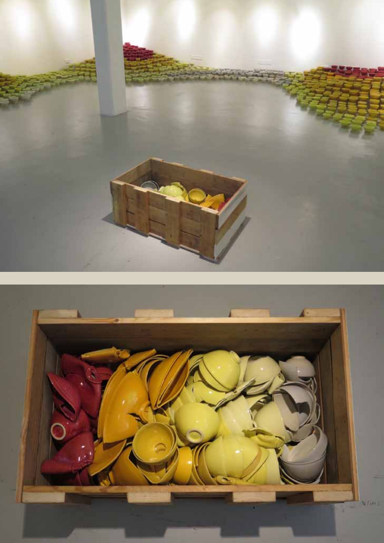